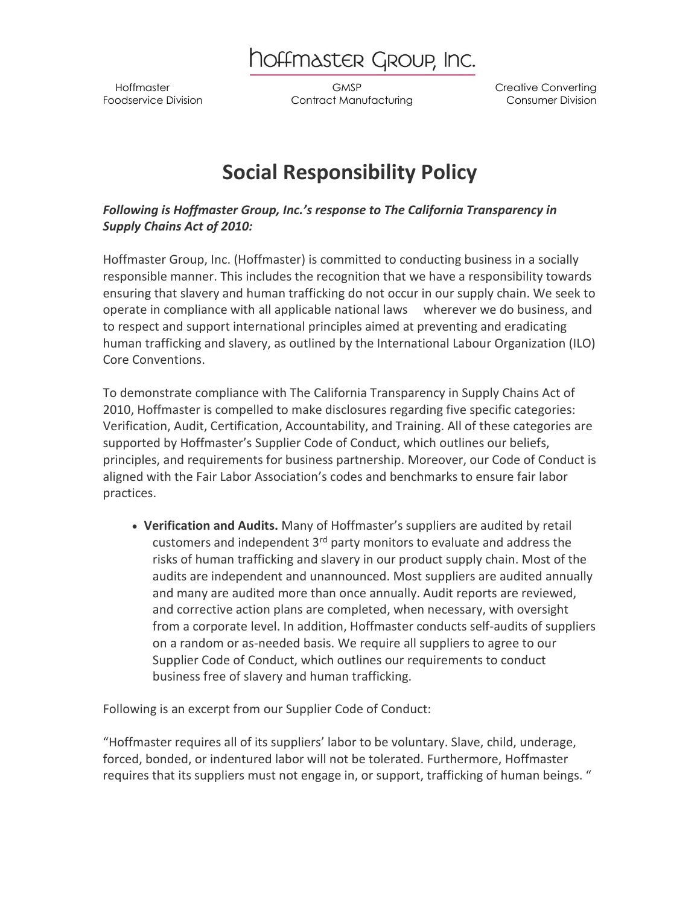hoffmaster Group, Inc.

 Hoffmaster GMSP Creative Converting Foodservice Division Contract Manufacturing Consumer Division

## **Social Responsibility Policy**

*Following is Hoffmaster Group, Inc.'s response to The California Transparency in Supply Chains Act of 2010:*

Hoffmaster Group, Inc. (Hoffmaster) is committed to conducting business in a socially responsible manner. This includes the recognition that we have a responsibility towards ensuring that slavery and human trafficking do not occur in our supply chain. We seek to operate in compliance with all applicable national laws wherever we do business, and to respect and support international principles aimed at preventing and eradicating human trafficking and slavery, as outlined by the International Labour Organization (ILO) Core Conventions.

To demonstrate compliance with The California Transparency in Supply Chains Act of 2010, Hoffmaster is compelled to make disclosures regarding five specific categories: Verification, Audit, Certification, Accountability, and Training. All of these categories are supported by Hoffmaster's Supplier Code of Conduct, which outlines our beliefs, principles, and requirements for business partnership. Moreover, our Code of Conduct is aligned with the Fair Labor Association's codes and benchmarks to ensure fair labor practices.

 **Verification and Audits.** Many of Hoffmaster's suppliers are audited by retail customers and independent 3rd party monitors to evaluate and address the risks of human trafficking and slavery in our product supply chain. Most of the audits are independent and unannounced. Most suppliers are audited annually and many are audited more than once annually. Audit reports are reviewed, and corrective action plans are completed, when necessary, with oversight from a corporate level. In addition, Hoffmaster conducts self-audits of suppliers on a random or as-needed basis. We require all suppliers to agree to our Supplier Code of Conduct, which outlines our requirements to conduct business free of slavery and human trafficking.

Following is an excerpt from our Supplier Code of Conduct:

"Hoffmaster requires all of its suppliers' labor to be voluntary. Slave, child, underage, forced, bonded, or indentured labor will not be tolerated. Furthermore, Hoffmaster requires that its suppliers must not engage in, or support, trafficking of human beings. "